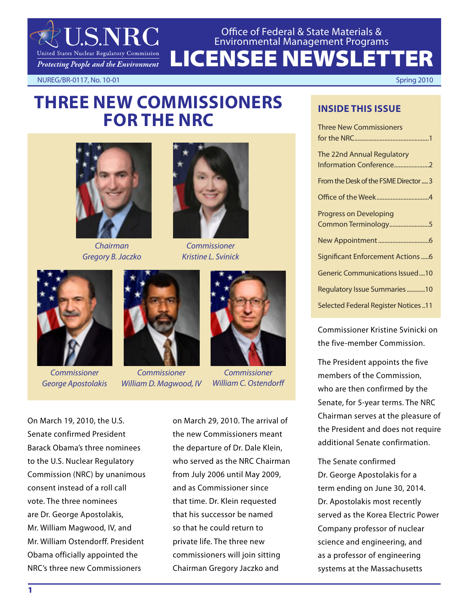

LICENSEE NEWSLETTER Office of Federal & State Materials & Environmental Management Programs

NUREG/BR-0117, No. 10-01 Spring 2010

# **THREE NEW COMMISSIONERS FOR THE NRC**



*Chairman Gregory B. Jaczko*



*Commissioner Kristine L. Svinick*



*Commissioner George Apostolakis*



*Commissioner William D. Magwood, IV*



*Commissioner William C. Ostendorff*

On March 19, 2010, the U.S. Senate confirmed President Barack Obama's three nominees to the U.S. Nuclear Regulatory Commission (NRC) by unanimous consent instead of a roll call vote. The three nominees are Dr. George Apostolakis, Mr. William Magwood, IV, and Mr. William Ostendorff. President Obama officially appointed the NRC's three new Commissioners

on March 29, 2010. The arrival of the new Commissioners meant the departure of Dr. Dale Klein, who served as the NRC Chairman from July 2006 until May 2009, and as Commissioner since that time. Dr. Klein requested that his successor be named so that he could return to private life. The three new commissioners will join sitting Chairman Gregory Jaczko and

# **INSIDE THIS ISSUE**

| <b>Three New Commissioners</b>             |
|--------------------------------------------|
|                                            |
| The 22nd Annual Regulatory                 |
| Information Conference2                    |
| From the Desk of the FSME Director  3      |
|                                            |
| <b>Progress on Developing</b>              |
| Common Terminology5                        |
|                                            |
| Significant Enforcement Actions6           |
| Generic Communications Issued10            |
| Regulatory Issue Summaries 10              |
| <b>Selected Federal Register Notices11</b> |

Commissioner Kristine Svinicki on the five-member Commission.

The President appoints the five members of the Commission, who are then confirmed by the Senate, for 5-year terms. The NRC Chairman serves at the pleasure of the President and does not require additional Senate confirmation.

The Senate confirmed Dr. George Apostolakis for a term ending on June 30, 2014. Dr. Apostolakis most recently served as the Korea Electric Power Company professor of nuclear science and engineering, and as a professor of engineering systems at the Massachusetts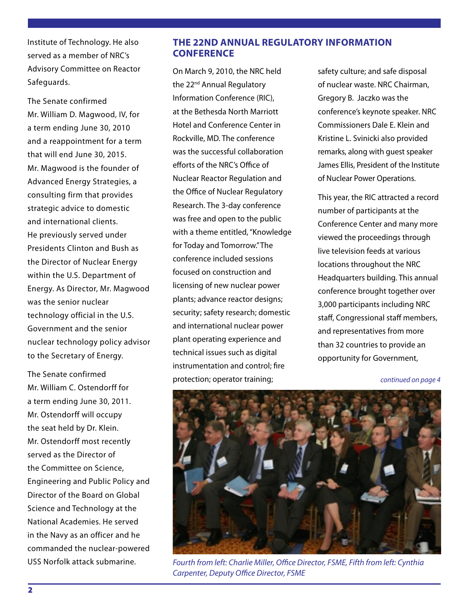Institute of Technology. He also served as a member of NRC's Advisory Committee on Reactor Safeguards.

The Senate confirmed Mr. William D. Magwood, IV, for a term ending June 30, 2010 and a reappointment for a term that will end June 30, 2015. Mr. Magwood is the founder of Advanced Energy Strategies, a consulting firm that provides strategic advice to domestic and international clients. He previously served under Presidents Clinton and Bush as the Director of Nuclear Energy within the U.S. Department of Energy. As Director, Mr. Magwood was the senior nuclear technology official in the U.S. Government and the senior nuclear technology policy advisor to the Secretary of Energy.

The Senate confirmed Mr. William C. Ostendorff for a term ending June 30, 2011. Mr. Ostendorff will occupy the seat held by Dr. Klein. Mr. Ostendorff most recently served as the Director of the Committee on Science, Engineering and Public Policy and Director of the Board on Global Science and Technology at the National Academies. He served in the Navy as an officer and he commanded the nuclear-powered USS Norfolk attack submarine.

## **THE 22ND ANNUAL REGULATORY INFORMATION CONFERENCE**

On March 9, 2010, the NRC held the 22<sup>nd</sup> Annual Regulatory Information Conference (RIC), at the Bethesda North Marriott Hotel and Conference Center in Rockville, MD. The conference was the successful collaboration efforts of the NRC's Office of Nuclear Reactor Regulation and the Office of Nuclear Regulatory Research. The 3-day conference was free and open to the public with a theme entitled, "Knowledge for Today and Tomorrow." The conference included sessions focused on construction and licensing of new nuclear power plants; advance reactor designs; security; safety research; domestic and international nuclear power plant operating experience and technical issues such as digital instrumentation and control; fire protection; operator training;

safety culture; and safe disposal of nuclear waste. NRC Chairman, Gregory B. Jaczko was the conference's keynote speaker. NRC Commissioners Dale E. Klein and Kristine L. Svinicki also provided remarks, along with guest speaker James Ellis, President of the Institute of Nuclear Power Operations.

This year, the RIC attracted a record number of participants at the Conference Center and many more viewed the proceedings through live television feeds at various locations throughout the NRC Headquarters building. This annual conference brought together over 3,000 participants including NRC staff, Congressional staff members, and representatives from more than 32 countries to provide an opportunity for Government,

*continued on page 4*



*Fourth from left: Charlie Miller, Office Director, FSME, Fifth from left: Cynthia Carpenter, Deputy Office Director, FSME*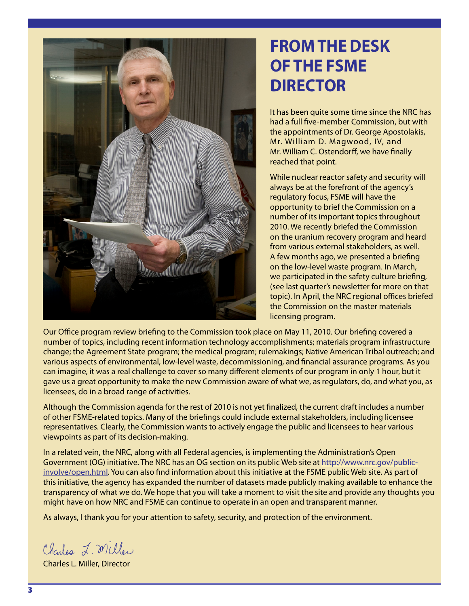

# **FROM THE DESK OF THE FSME DIRECTOR**

It has been quite some time since the NRC has had a full five-member Commission, but with the appointments of Dr. George Apostolakis, Mr. William D. Magwood, IV, and Mr. William C. Ostendorff, we have finally reached that point.

While nuclear reactor safety and security will always be at the forefront of the agency's regulatory focus, FSME will have the opportunity to brief the Commission on a number of its important topics throughout 2010. We recently briefed the Commission on the uranium recovery program and heard from various external stakeholders, as well. A few months ago, we presented a briefing on the low-level waste program. In March, we participated in the safety culture briefing, (see last quarter's newsletter for more on that topic). In April, the NRC regional offices briefed the Commission on the master materials licensing program.

Our Office program review briefing to the Commission took place on May 11, 2010. Our briefing covered a number of topics, including recent information technology accomplishments; materials program infrastructure change; the Agreement State program; the medical program; rulemakings; Native American Tribal outreach; and various aspects of environmental, low-level waste, decommissioning, and financial assurance programs. As you can imagine, it was a real challenge to cover so many different elements of our program in only 1 hour, but it gave us a great opportunity to make the new Commission aware of what we, as regulators, do, and what you, as licensees, do in a broad range of activities.

Although the Commission agenda for the rest of 2010 is not yet finalized, the current draft includes a number of other FSME-related topics. Many of the briefings could include external stakeholders, including licensee representatives. Clearly, the Commission wants to actively engage the public and licensees to hear various viewpoints as part of its decision-making.

In a related vein, the NRC, along with all Federal agencies, is implementing the Administration's Open Government (OG) initiative. The NRC has an OG section on its public Web site at http://www.nrc.gov/publicinvolve/open.html. You can also find information about this initiative at the FSME public Web site. As part of this initiative, the agency has expanded the number of datasets made publicly making available to enhance the transparency of what we do. We hope that you will take a moment to visit the site and provide any thoughts you might have on how NRC and FSME can continue to operate in an open and transparent manner.

As always, I thank you for your attention to safety, security, and protection of the environment.

Charles L. Miller

Charles L. Miller, Director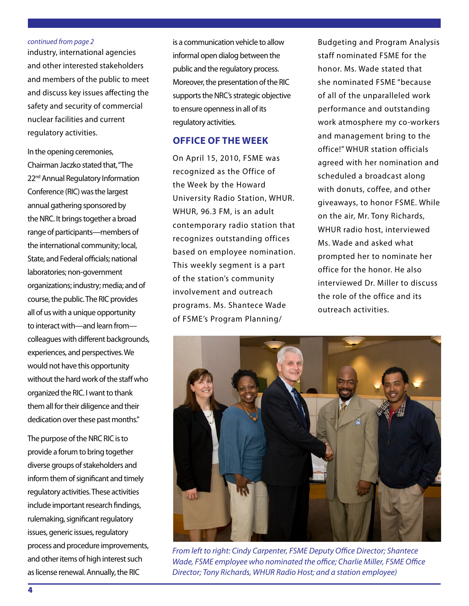#### *continued from page 2*

industry, international agencies and other interested stakeholders and members of the public to meet and discuss key issues affecting the safety and security of commercial nuclear facilities and current regulatory activities.

In the opening ceremonies, Chairman Jaczko stated that, "The 22<sup>nd</sup> Annual Regulatory Information Conference (RIC) was the largest annual gathering sponsored by the NRC. It brings together a broad range of participants—members of the international community; local, State, and Federal officials; national laboratories; non-government organizations; industry; media; and of course, the public. The RIC provides all of us with a unique opportunity to interact with—and learn from colleagues with different backgrounds, experiences, and perspectives. We would not have this opportunity without the hard work of the staff who organized the RIC. I want to thank them all for their diligence and their dedication over these past months."

The purpose of the NRC RIC is to provide a forum to bring together diverse groups of stakeholders and inform them of significant and timely regulatory activities. These activities include important research findings, rulemaking, significant regulatory issues, generic issues, regulatory process and procedure improvements, and other items of high interest such as license renewal. Annually, the RIC

is a communication vehicle to allow informal open dialog between the public and the regulatory process. Moreover, the presentation of the RIC supports the NRC's strategic objective to ensure openness in all of its regulatory activities.

## **OFFICE OF THE WEEK**

On April 15, 2010, FSME was recognized as the Office of the Week by the Howard University Radio Station, WHUR. WHUR, 96.3 FM, is an adult contemporary radio station that recognizes outstanding offices based on employee nomination. This weekly segment is a part of the station's community involvement and outreach programs. Ms. Shantece Wade of FSME's Program Planning/

Budgeting and Program Analysis staff nominated FSME for the honor. Ms. Wade stated that she nominated FSME "because of all of the unparalleled work performance and outstanding work atmosphere my co-workers and management bring to the office!" WHUR station officials agreed with her nomination and scheduled a broadcast along with donuts, coffee, and other giveaways, to honor FSME. While on the air, Mr. Tony Richards, WHUR radio host, interviewed Ms. Wade and asked what prompted her to nominate her office for the honor. He also interviewed Dr. Miller to discuss the role of the office and its outreach activities.



*From left to right: Cindy Carpenter, FSME Deputy Office Director; Shantece Wade, FSME employee who nominated the office; Charlie Miller, FSME Office Director; Tony Richards, WHUR Radio Host; and a station employee)*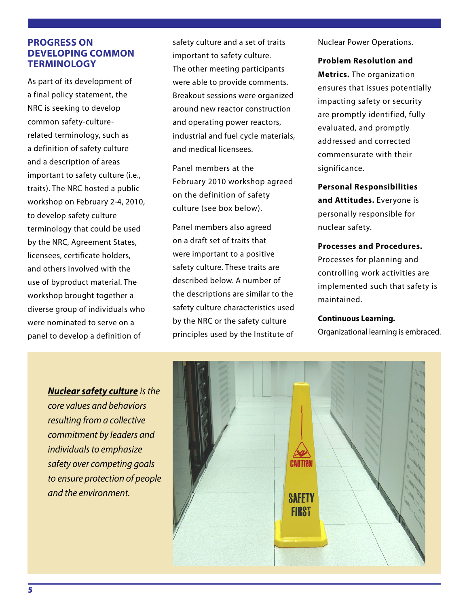## **PROGRESS ON DEVELOPING COMMON TERMINOLOGY**

As part of its development of a final policy statement, the NRC is seeking to develop common safety-culturerelated terminology, such as a definition of safety culture and a description of areas important to safety culture (i.e., traits). The NRC hosted a public workshop on February 2-4, 2010, to develop safety culture terminology that could be used by the NRC, Agreement States, licensees, certificate holders, and others involved with the use of byproduct material. The workshop brought together a diverse group of individuals who were nominated to serve on a panel to develop a definition of

safety culture and a set of traits important to safety culture. The other meeting participants were able to provide comments. Breakout sessions were organized around new reactor construction and operating power reactors, industrial and fuel cycle materials, and medical licensees.

Panel members at the February 2010 workshop agreed on the definition of safety culture (see box below).

Panel members also agreed on a draft set of traits that were important to a positive safety culture. These traits are described below. A number of the descriptions are similar to the safety culture characteristics used by the NRC or the safety culture principles used by the Institute of

Nuclear Power Operations.

**Problem Resolution and Metrics.** The organization ensures that issues potentially impacting safety or security are promptly identified, fully evaluated, and promptly addressed and corrected commensurate with their significance.

**Personal Responsibilities and Attitudes.** Everyone is personally responsible for nuclear safety.

## **Processes and Procedures.**

Processes for planning and controlling work activities are implemented such that safety is maintained.

#### **Continuous Learning.**

Organizational learning is embraced.

*Nuclear safety culture is the core values and behaviors resulting from a collective commitment by leaders and individuals to emphasize safety over competing goals to ensure protection of people and the environment.*

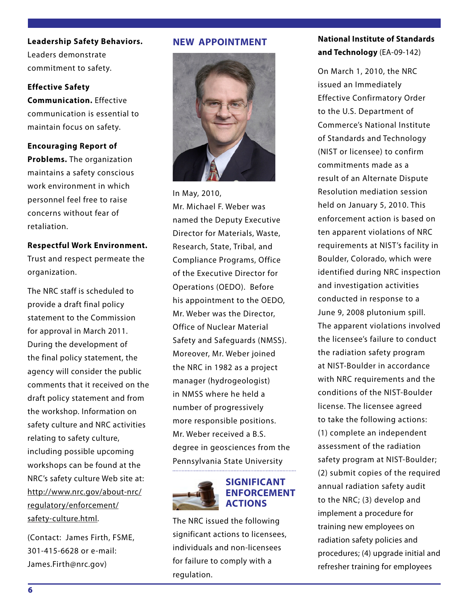**Leadership Safety Behaviors.**  Leaders demonstrate commitment to safety.

#### **Effective Safety**

**Communication.** Effective communication is essential to maintain focus on safety.

#### **Encouraging Report of**

**Problems.** The organization maintains a safety conscious work environment in which personnel feel free to raise concerns without fear of retaliation.

## **Respectful Work Environment.**

Trust and respect permeate the organization.

The NRC staff is scheduled to provide a draft final policy statement to the Commission for approval in March 2011. During the development of the final policy statement, the agency will consider the public comments that it received on the draft policy statement and from the workshop. Information on safety culture and NRC activities relating to safety culture, including possible upcoming workshops can be found at the NRC's safety culture Web site at: http://www.nrc.gov/about-nrc/ regulatory/enforcement/ safety-culture.html.

(Contact: James Firth, FSME, 301-415-6628 or e-mail: James.Firth@nrc.gov)

## **NEW APPOINTMENT**



In May, 2010, Mr. Michael F. Weber was named the Deputy Executive Director for Materials, Waste, Research, State, Tribal, and Compliance Programs, Office of the Executive Director for Operations (OEDO). Before his appointment to the OEDO, Mr. Weber was the Director, Office of Nuclear Material Safety and Safeguards (NMSS). Moreover, Mr. Weber joined the NRC in 1982 as a project manager (hydrogeologist) in NMSS where he held a number of progressively more responsible positions. Mr. Weber received a B.S. degree in geosciences from the Pennsylvania State University



#### **SIGNIFICANT ENFORCEMENT ACTIONS**

The NRC issued the following significant actions to licensees, individuals and non-licensees for failure to comply with a regulation.

## **National Institute of Standards and Technology** (EA-09-142)

On March 1, 2010, the NRC issued an Immediately Effective Confirmatory Order to the U.S. Department of Commerce's National Institute of Standards and Technology (NIST or licensee) to confirm commitments made as a result of an Alternate Dispute Resolution mediation session held on January 5, 2010. This enforcement action is based on ten apparent violations of NRC requirements at NIST's facility in Boulder, Colorado, which were identified during NRC inspection and investigation activities conducted in response to a June 9, 2008 plutonium spill. The apparent violations involved the licensee's failure to conduct the radiation safety program at NIST-Boulder in accordance with NRC requirements and the conditions of the NIST-Boulder license. The licensee agreed to take the following actions: (1) complete an independent assessment of the radiation safety program at NIST-Boulder; (2) submit copies of the required annual radiation safety audit to the NRC; (3) develop and implement a procedure for training new employees on radiation safety policies and procedures; (4) upgrade initial and refresher training for employees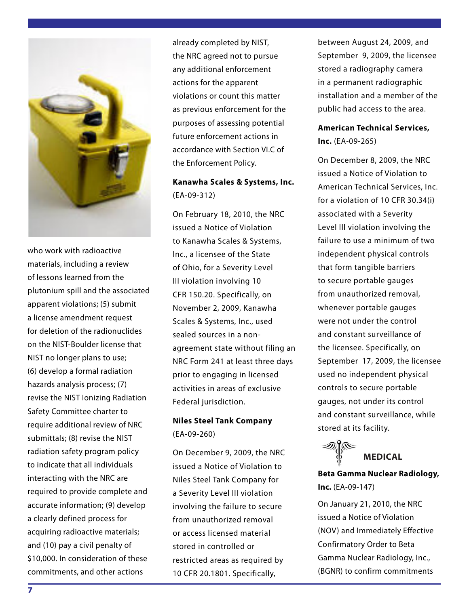

who work with radioactive materials, including a review of lessons learned from the plutonium spill and the associated apparent violations; (5) submit a license amendment request for deletion of the radionuclides on the NIST-Boulder license that NIST no longer plans to use; (6) develop a formal radiation hazards analysis process; (7) revise the NIST Ionizing Radiation Safety Committee charter to require additional review of NRC submittals; (8) revise the NIST radiation safety program policy to indicate that all individuals interacting with the NRC are required to provide complete and accurate information; (9) develop a clearly defined process for acquiring radioactive materials; and (10) pay a civil penalty of \$10,000. In consideration of these commitments, and other actions

already completed by NIST, the NRC agreed not to pursue any additional enforcement actions for the apparent violations or count this matter as previous enforcement for the purposes of assessing potential future enforcement actions in accordance with Section VI.C of the Enforcement Policy.

## **Kanawha Scales & Systems, Inc.** (EA-09-312)

On February 18, 2010, the NRC issued a Notice of Violation to Kanawha Scales & Systems, Inc., a licensee of the State of Ohio, for a Severity Level III violation involving 10 CFR 150.20. Specifically, on November 2, 2009, Kanawha Scales & Systems, Inc., used sealed sources in a nonagreement state without filing an NRC Form 241 at least three days prior to engaging in licensed activities in areas of exclusive Federal jurisdiction.

## **Niles Steel Tank Company** (EA-09-260)

On December 9, 2009, the NRC issued a Notice of Violation to Niles Steel Tank Company for a Severity Level III violation involving the failure to secure from unauthorized removal or access licensed material stored in controlled or restricted areas as required by 10 CFR 20.1801. Specifically,

between August 24, 2009, and September 9, 2009, the licensee stored a radiography camera in a permanent radiographic installation and a member of the public had access to the area.

## **American Technical Services, Inc.** (EA-09-265)

On December 8, 2009, the NRC issued a Notice of Violation to American Technical Services, Inc. for a violation of 10 CFR 30.34(i) associated with a Severity Level III violation involving the failure to use a minimum of two independent physical controls that form tangible barriers to secure portable gauges from unauthorized removal, whenever portable gauges were not under the control and constant surveillance of the licensee. Specifically, on September 17, 2009, the licensee used no independent physical controls to secure portable gauges, not under its control and constant surveillance, while stored at its facility.



**Beta Gamma Nuclear Radiology, Inc.** (EA-09-147)

On January 21, 2010, the NRC issued a Notice of Violation (NOV) and Immediately Effective Confirmatory Order to Beta Gamma Nuclear Radiology, Inc., (BGNR) to confirm commitments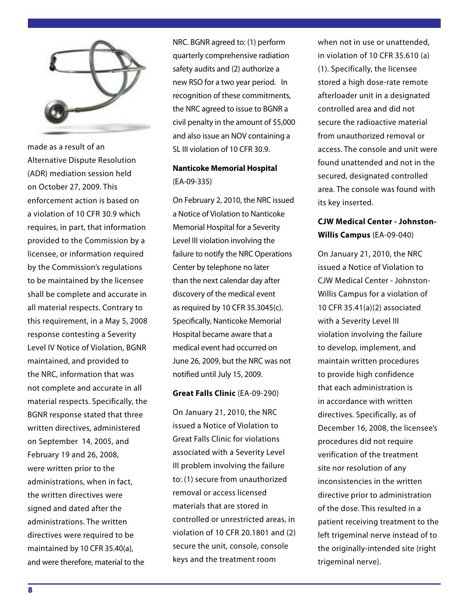

made as a result of an Alternative Dispute Resolution (ADR) mediation session held on October 27, 2009. This enforcement action is based on a violation of 10 CFR 30.9 which requires, in part, that information provided to the Commission by a licensee, or information required by the Commission's regulations to be maintained by the licensee shall be complete and accurate in all material respects. Contrary to this requirement, in a May 5, 2008 response contesting a Severity Level IV Notice of Violation, BGNR maintained, and provided to the NRC, information that was not complete and accurate in all material respects. Specifically, the BGNR response stated that three written directives, administered on September 14, 2005, and February 19 and 26, 2008, were written prior to the administrations, when in fact, the written directives were signed and dated after the administrations. The written directives were required to be maintained by 10 CFR 35.40(a), and were therefore, material to the

NRC. BGNR agreed to: (1) perform quarterly comprehensive radiation safety audits and (2) authorize a new RSO for a two year period. In recognition of these commitments, the NRC agreed to issue to BGNR a civil penalty in the amount of \$5,000 and also issue an NOV containing a SL III violation of 10 CFR 30.9.

## **Nanticoke Memorial Hospital** (EA-09-335)

On February 2, 2010, the NRC issued a Notice of Violation to Nanticoke Memorial Hospital for a Severity Level III violation involving the failure to notify the NRC Operations Center by telephone no later than the next calendar day after discovery of the medical event as required by 10 CFR 35.3045(c). Specifically, Nanticoke Memorial Hospital became aware that a medical event had occurred on June 26, 2009, but the NRC was not notified until July 15, 2009.

### **Great Falls Clinic** (EA-09-290)

On January 21, 2010, the NRC issued a Notice of Violation to Great Falls Clinic for violations associated with a Severity Level III problem involving the failure to: (1) secure from unauthorized removal or access licensed materials that are stored in controlled or unrestricted areas, in violation of 10 CFR 20.1801 and (2) secure the unit, console, console keys and the treatment room

when not in use or unattended, in violation of 10 CFR 35.610 (a) (1). Specifically, the licensee stored a high dose-rate remote afterloader unit in a designated controlled area and did not secure the radioactive material from unauthorized removal or access. The console and unit were found unattended and not in the secured, designated controlled area. The console was found with its key inserted.

## **CJW Medical Center - Johnston-Willis Campus** (EA-09-040)

On January 21, 2010, the NRC issued a Notice of Violation to CJW Medical Center - Johnston-Willis Campus for a violation of 10 CFR 35.41(a)(2) associated with a Severity Level III violation involving the failure to develop, implement, and maintain written procedures to provide high confidence that each administration is in accordance with written directives. Specifically, as of December 16, 2008, the licensee's procedures did not require verification of the treatment site nor resolution of any inconsistencies in the written directive prior to administration of the dose. This resulted in a patient receiving treatment to the left trigeminal nerve instead of to the originally-intended site (right trigeminal nerve).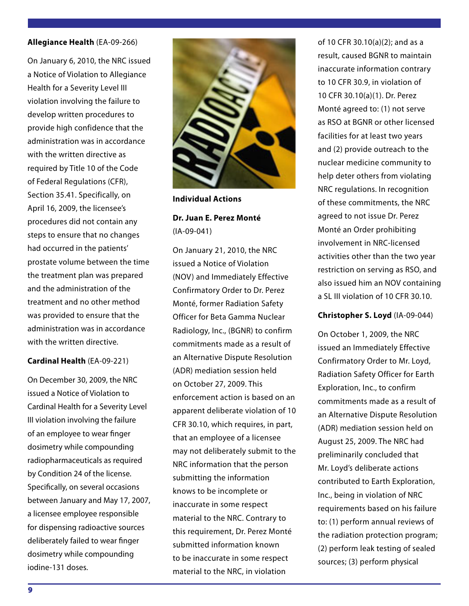#### **Allegiance Health** (EA-09-266)

On January 6, 2010, the NRC issued a Notice of Violation to Allegiance Health for a Severity Level III violation involving the failure to develop written procedures to provide high confidence that the administration was in accordance with the written directive as required by Title 10 of the Code of Federal Regulations (CFR), Section 35.41. Specifically, on April 16, 2009, the licensee's procedures did not contain any steps to ensure that no changes had occurred in the patients' prostate volume between the time the treatment plan was prepared and the administration of the treatment and no other method was provided to ensure that the administration was in accordance with the written directive.

#### **Cardinal Health** (EA-09-221)

On December 30, 2009, the NRC issued a Notice of Violation to Cardinal Health for a Severity Level III violation involving the failure of an employee to wear finger dosimetry while compounding radiopharmaceuticals as required by Condition 24 of the license. Specifically, on several occasions between January and May 17, 2007, a licensee employee responsible for dispensing radioactive sources deliberately failed to wear finger dosimetry while compounding iodine-131 doses.

![](_page_8_Picture_4.jpeg)

**Individual Actions**

**Dr. Juan E. Perez Monté**  (IA-09-041)

On January 21, 2010, the NRC issued a Notice of Violation (NOV) and Immediately Effective Confirmatory Order to Dr. Perez Monté, former Radiation Safety Officer for Beta Gamma Nuclear Radiology, Inc., (BGNR) to confirm commitments made as a result of an Alternative Dispute Resolution (ADR) mediation session held on October 27, 2009. This enforcement action is based on an apparent deliberate violation of 10 CFR 30.10, which requires, in part, that an employee of a licensee may not deliberately submit to the NRC information that the person submitting the information knows to be incomplete or inaccurate in some respect material to the NRC. Contrary to this requirement, Dr. Perez Monté submitted information known to be inaccurate in some respect material to the NRC, in violation

of 10 CFR 30.10(a)(2); and as a result, caused BGNR to maintain inaccurate information contrary to 10 CFR 30.9, in violation of 10 CFR 30.10(a)(1). Dr. Perez Monté agreed to: (1) not serve as RSO at BGNR or other licensed facilities for at least two years and (2) provide outreach to the nuclear medicine community to help deter others from violating NRC regulations. In recognition of these commitments, the NRC agreed to not issue Dr. Perez Monté an Order prohibiting involvement in NRC-licensed activities other than the two year restriction on serving as RSO, and also issued him an NOV containing a SL III violation of 10 CFR 30.10.

### **Christopher S. Loyd** (IA-09-044)

On October 1, 2009, the NRC issued an Immediately Effective Confirmatory Order to Mr. Loyd, Radiation Safety Officer for Earth Exploration, Inc., to confirm commitments made as a result of an Alternative Dispute Resolution (ADR) mediation session held on August 25, 2009. The NRC had preliminarily concluded that Mr. Loyd's deliberate actions contributed to Earth Exploration, Inc., being in violation of NRC requirements based on his failure to: (1) perform annual reviews of the radiation protection program; (2) perform leak testing of sealed sources; (3) perform physical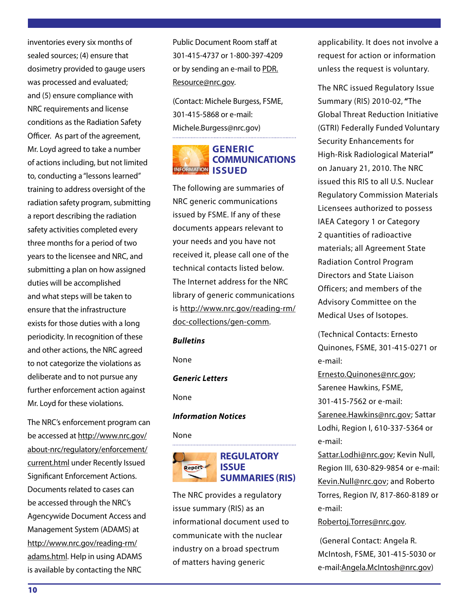inventories every six months of sealed sources; (4) ensure that dosimetry provided to gauge users was processed and evaluated; and (5) ensure compliance with NRC requirements and license conditions as the Radiation Safety Officer. As part of the agreement, Mr. Loyd agreed to take a number of actions including, but not limited to, conducting a "lessons learned" training to address oversight of the radiation safety program, submitting a report describing the radiation safety activities completed every three months for a period of two years to the licensee and NRC, and submitting a plan on how assigned duties will be accomplished and what steps will be taken to ensure that the infrastructure exists for those duties with a long periodicity. In recognition of these and other actions, the NRC agreed to not categorize the violations as deliberate and to not pursue any further enforcement action against Mr. Loyd for these violations.

The NRC's enforcement program can be accessed at http://www.nrc.gov/ about-nrc/regulatory/enforcement/ current.html under Recently Issued Significant Enforcement Actions. Documents related to cases can be accessed through the NRC's Agencywide Document Access and Management System (ADAMS) at http://www.nrc.gov/reading-rm/ adams.html. Help in using ADAMS is available by contacting the NRC

Public Document Room staff at 301-415-4737 or 1-800-397-4209 or by sending an e-mail to PDR. Resource@nrc.gov.

(Contact: Michele Burgess, FSME, 301-415-5868 or e-mail: Michele.Burgess@nrc.gov) 

## **GENERIC COMMUNICATIONS INFORMATION ISSUED**

The following are summaries of NRC generic communications issued by FSME. If any of these documents appears relevant to your needs and you have not received it, please call one of the technical contacts listed below. The Internet address for the NRC library of generic communications is http://www.nrc.gov/reading-rm/ doc-collections/gen-comm.

#### *Bulletins*

None

#### *Generic Letters*

None

#### *Information Notices*

#### None

![](_page_9_Picture_12.jpeg)

#### **REGULATORY ISSUE SUMMARIES (RIS)**

The NRC provides a regulatory issue summary (RIS) as an informational document used to communicate with the nuclear industry on a broad spectrum of matters having generic

applicability. It does not involve a request for action or information unless the request is voluntary.

The NRC issued Regulatory Issue Summary (RIS) 2010-02, **"**The Global Threat Reduction Initiative (GTRI) Federally Funded Voluntary Security Enhancements for High-Risk Radiological Material**"**  on January 21, 2010. The NRC issued this RIS to all U.S. Nuclear Regulatory Commission Materials Licensees authorized to possess IAEA Category 1 or Category 2 quantities of radioactive materials; all Agreement State Radiation Control Program Directors and State Liaison Officers; and members of the Advisory Committee on the Medical Uses of Isotopes.

(Technical Contacts: Ernesto Quinones, FSME, 301-415-0271 or e-mail:

Ernesto.Quinones@nrc.gov; Sarenee Hawkins, FSME, 301-415-7562 or e-mail: Sarenee.Hawkins@nrc.gov; Sattar Lodhi, Region I, 610-337-5364 or e-mail:

Sattar.Lodhi@nrc.gov; Kevin Null, Region III, 630-829-9854 or e-mail: Kevin.Null@nrc.gov; and Roberto Torres, Region IV, 817-860-8189 or e-mail:

Robertoj.Torres@nrc.gov.

(General Contact: Angela R. McIntosh, FSME, 301-415-5030 or e-mail:Angela.McIntosh@nrc.gov)